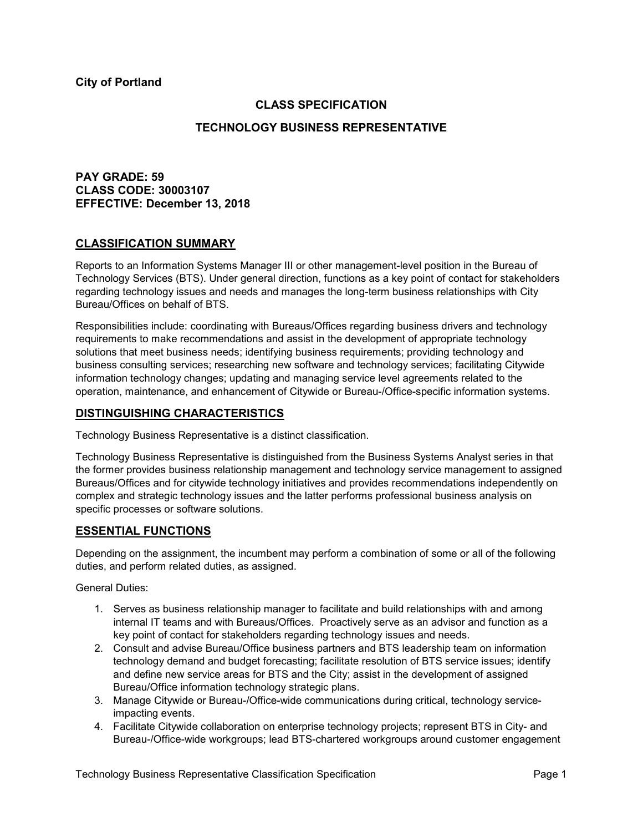**City of Portland**

## **CLASS SPECIFICATION**

## **TECHNOLOGY BUSINESS REPRESENTATIVE**

# **PAY GRADE: 59 CLASS CODE: 30003107 EFFECTIVE: December 13, 2018**

### **CLASSIFICATION SUMMARY**

Reports to an Information Systems Manager III or other management-level position in the Bureau of Technology Services (BTS). Under general direction, functions as a key point of contact for stakeholders regarding technology issues and needs and manages the long-term business relationships with City Bureau/Offices on behalf of BTS.

Responsibilities include: coordinating with Bureaus/Offices regarding business drivers and technology requirements to make recommendations and assist in the development of appropriate technology solutions that meet business needs; identifying business requirements; providing technology and business consulting services; researching new software and technology services; facilitating Citywide information technology changes; updating and managing service level agreements related to the operation, maintenance, and enhancement of Citywide or Bureau-/Office-specific information systems.

### **DISTINGUISHING CHARACTERISTICS**

Technology Business Representative is a distinct classification.

Technology Business Representative is distinguished from the Business Systems Analyst series in that the former provides business relationship management and technology service management to assigned Bureaus/Offices and for citywide technology initiatives and provides recommendations independently on complex and strategic technology issues and the latter performs professional business analysis on specific processes or software solutions.

## **ESSENTIAL FUNCTIONS**

Depending on the assignment, the incumbent may perform a combination of some or all of the following duties, and perform related duties, as assigned.

General Duties:

- 1. Serves as business relationship manager to facilitate and build relationships with and among internal IT teams and with Bureaus/Offices. Proactively serve as an advisor and function as a key point of contact for stakeholders regarding technology issues and needs.
- 2. Consult and advise Bureau/Office business partners and BTS leadership team on information technology demand and budget forecasting; facilitate resolution of BTS service issues; identify and define new service areas for BTS and the City; assist in the development of assigned Bureau/Office information technology strategic plans.
- 3. Manage Citywide or Bureau-/Office-wide communications during critical, technology serviceimpacting events.
- 4. Facilitate Citywide collaboration on enterprise technology projects; represent BTS in City- and Bureau-/Office-wide workgroups; lead BTS-chartered workgroups around customer engagement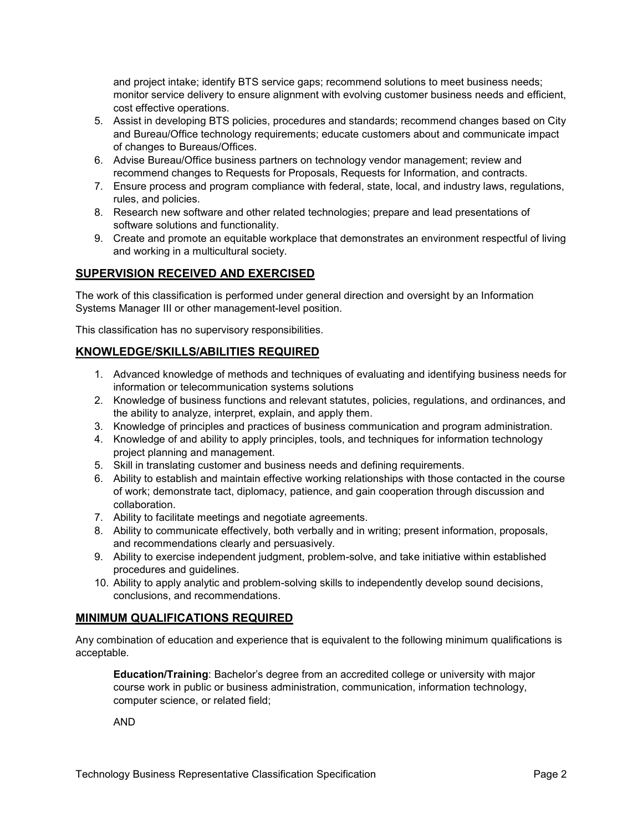and project intake; identify BTS service gaps; recommend solutions to meet business needs; monitor service delivery to ensure alignment with evolving customer business needs and efficient, cost effective operations.

- 5. Assist in developing BTS policies, procedures and standards; recommend changes based on City and Bureau/Office technology requirements; educate customers about and communicate impact of changes to Bureaus/Offices.
- 6. Advise Bureau/Office business partners on technology vendor management; review and recommend changes to Requests for Proposals, Requests for Information, and contracts.
- 7. Ensure process and program compliance with federal, state, local, and industry laws, regulations, rules, and policies.
- 8. Research new software and other related technologies; prepare and lead presentations of software solutions and functionality.
- 9. Create and promote an equitable workplace that demonstrates an environment respectful of living and working in a multicultural society.

# **SUPERVISION RECEIVED AND EXERCISED**

The work of this classification is performed under general direction and oversight by an Information Systems Manager III or other management-level position.

This classification has no supervisory responsibilities.

# **KNOWLEDGE/SKILLS/ABILITIES REQUIRED**

- 1. Advanced knowledge of methods and techniques of evaluating and identifying business needs for information or telecommunication systems solutions
- 2. Knowledge of business functions and relevant statutes, policies, regulations, and ordinances, and the ability to analyze, interpret, explain, and apply them.
- 3. Knowledge of principles and practices of business communication and program administration.
- 4. Knowledge of and ability to apply principles, tools, and techniques for information technology project planning and management.
- 5. Skill in translating customer and business needs and defining requirements.
- 6. Ability to establish and maintain effective working relationships with those contacted in the course of work; demonstrate tact, diplomacy, patience, and gain cooperation through discussion and collaboration.
- 7. Ability to facilitate meetings and negotiate agreements.
- 8. Ability to communicate effectively, both verbally and in writing; present information, proposals, and recommendations clearly and persuasively.
- 9. Ability to exercise independent judgment, problem-solve, and take initiative within established procedures and guidelines.
- 10. Ability to apply analytic and problem-solving skills to independently develop sound decisions, conclusions, and recommendations.

# **MINIMUM QUALIFICATIONS REQUIRED**

Any combination of education and experience that is equivalent to the following minimum qualifications is acceptable.

**Education/Training**: Bachelor's degree from an accredited college or university with major course work in public or business administration, communication, information technology, computer science, or related field;

AND